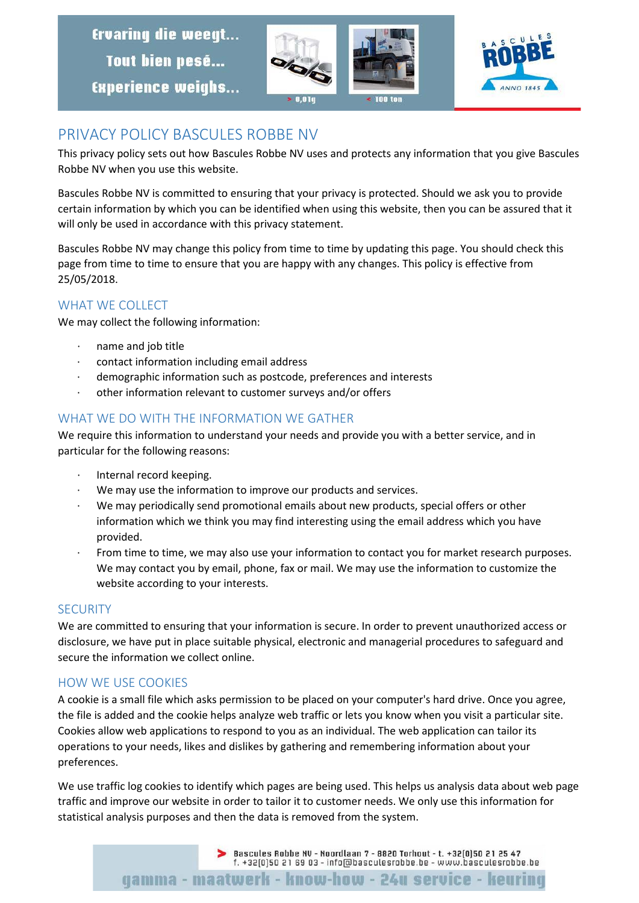**Ervaring die weegt...** Tout bien pesé... **Experience weighs...** 





# PRIVACY POLICY BASCULES ROBBE NV

This privacy policy sets out how Bascules Robbe NV uses and protects any information that you give Bascules Robbe NV when you use this website.

Bascules Robbe NV is committed to ensuring that your privacy is protected. Should we ask you to provide certain information by which you can be identified when using this website, then you can be assured that it will only be used in accordance with this privacy statement.

Bascules Robbe NV may change this policy from time to time by updating this page. You should check this page from time to time to ensure that you are happy with any changes. This policy is effective from 25/05/2018.

### WHAT WE COLLECT

We may collect the following information:

- · name and job title
- · contact information including email address
- demographic information such as postcode, preferences and interests
- · other information relevant to customer surveys and/or offers

# WHAT WE DO WITH THE INFORMATION WE GATHER

We require this information to understand your needs and provide you with a better service, and in particular for the following reasons:

- Internal record keeping.
- We may use the information to improve our products and services.
- We may periodically send promotional emails about new products, special offers or other information which we think you may find interesting using the email address which you have provided.
- From time to time, we may also use your information to contact you for market research purposes. We may contact you by email, phone, fax or mail. We may use the information to customize the website according to your interests.

#### **SECURITY**

We are committed to ensuring that your information is secure. In order to prevent unauthorized access or disclosure, we have put in place suitable physical, electronic and managerial procedures to safeguard and secure the information we collect online.

# HOW WE USE COOKIES

A cookie is a small file which asks permission to be placed on your computer's hard drive. Once you agree, the file is added and the cookie helps analyze web traffic or lets you know when you visit a particular site. Cookies allow web applications to respond to you as an individual. The web application can tailor its operations to your needs, likes and dislikes by gathering and remembering information about your preferences.

We use traffic log cookies to identify which pages are being used. This helps us analysis data about web page traffic and improve our website in order to tailor it to customer needs. We only use this information for statistical analysis purposes and then the data is removed from the system.